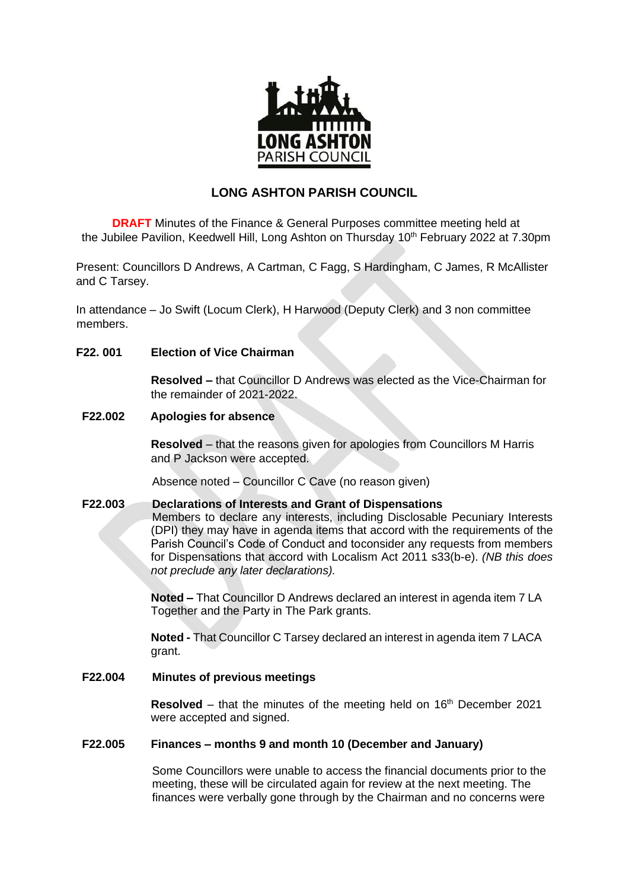

# **LONG ASHTON PARISH COUNCIL**

**DRAFT** Minutes of the Finance & General Purposes committee meeting held at the Jubilee Pavilion, Keedwell Hill, Long Ashton on Thursday 10<sup>th</sup> February 2022 at 7.30pm

Present: Councillors D Andrews, A Cartman, C Fagg, S Hardingham, C James, R McAllister and C Tarsey.

In attendance – Jo Swift (Locum Clerk), H Harwood (Deputy Clerk) and 3 non committee members.

# **F22. 001 Election of Vice Chairman**

**Resolved –** that Councillor D Andrews was elected as the Vice-Chairman for the remainder of 2021-2022.

#### **F22.002 Apologies for absence**

**Resolved** – that the reasons given for apologies from Councillors M Harris and P Jackson were accepted.

Absence noted – Councillor C Cave (no reason given)

# **F22.003 Declarations of Interests and Grant of Dispensations**

Members to declare any interests, including Disclosable Pecuniary Interests (DPI) they may have in agenda items that accord with the requirements of the Parish Council's Code of Conduct and toconsider any requests from members for Dispensations that accord with Localism Act 2011 s33(b-e). *(NB this does not preclude any later declarations).*

**Noted –** That Councillor D Andrews declared an interest in agenda item 7 LA Together and the Party in The Park grants.

**Noted -** That Councillor C Tarsey declared an interest in agenda item 7 LACA grant.

# **F22.004 Minutes of previous meetings**

**Resolved** – that the minutes of the meeting held on 16<sup>th</sup> December 2021 were accepted and signed.

#### **F22.005 Finances – months 9 and month 10 (December and January)**

Some Councillors were unable to access the financial documents prior to the meeting, these will be circulated again for review at the next meeting. The finances were verbally gone through by the Chairman and no concerns were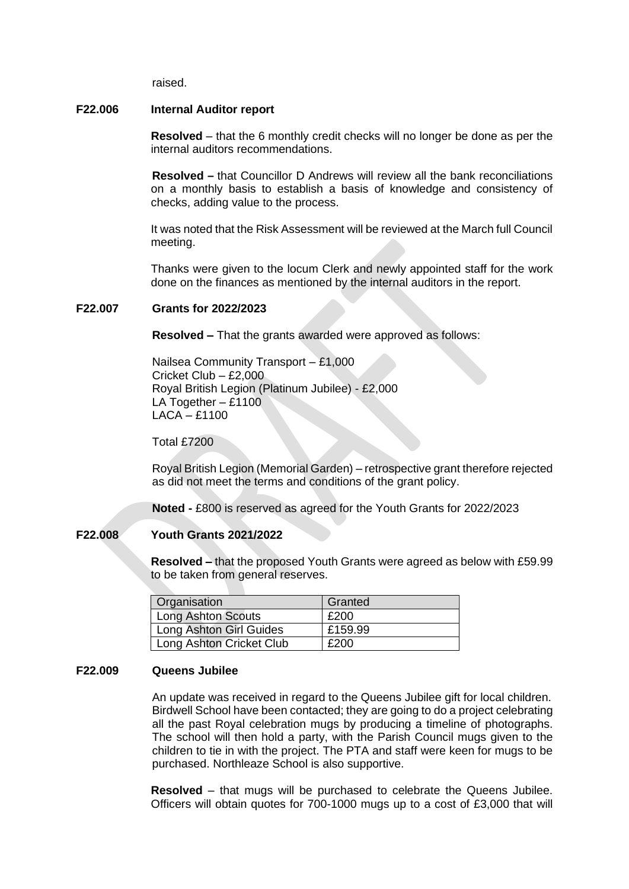raised.

#### **F22.006 Internal Auditor report**

**Resolved** – that the 6 monthly credit checks will no longer be done as per the internal auditors recommendations.

**Resolved –** that Councillor D Andrews will review all the bank reconciliations on a monthly basis to establish a basis of knowledge and consistency of checks, adding value to the process.

It was noted that the Risk Assessment will be reviewed at the March full Council meeting.

Thanks were given to the locum Clerk and newly appointed staff for the work done on the finances as mentioned by the internal auditors in the report.

#### **F22.007 Grants for 2022/2023**

**Resolved –** That the grants awarded were approved as follows:

Nailsea Community Transport – £1,000 Cricket Club – £2,000 Royal British Legion (Platinum Jubilee) - £2,000 LA Together – £1100 LACA – £1100

Total £7200

Royal British Legion (Memorial Garden) – retrospective grant therefore rejected as did not meet the terms and conditions of the grant policy.

**Noted -** £800 is reserved as agreed for the Youth Grants for 2022/2023

# **F22.008 Youth Grants 2021/2022**

**Resolved –** that the proposed Youth Grants were agreed as below with £59.99 to be taken from general reserves.

| Organisation             | Granted |
|--------------------------|---------|
| Long Ashton Scouts       | £200    |
| Long Ashton Girl Guides  | £159.99 |
| Long Ashton Cricket Club | £200    |

#### **F22.009 Queens Jubilee**

An update was received in regard to the Queens Jubilee gift for local children. Birdwell School have been contacted; they are going to do a project celebrating all the past Royal celebration mugs by producing a timeline of photographs. The school will then hold a party, with the Parish Council mugs given to the children to tie in with the project. The PTA and staff were keen for mugs to be purchased. Northleaze School is also supportive.

**Resolved** – that mugs will be purchased to celebrate the Queens Jubilee. Officers will obtain quotes for 700-1000 mugs up to a cost of £3,000 that will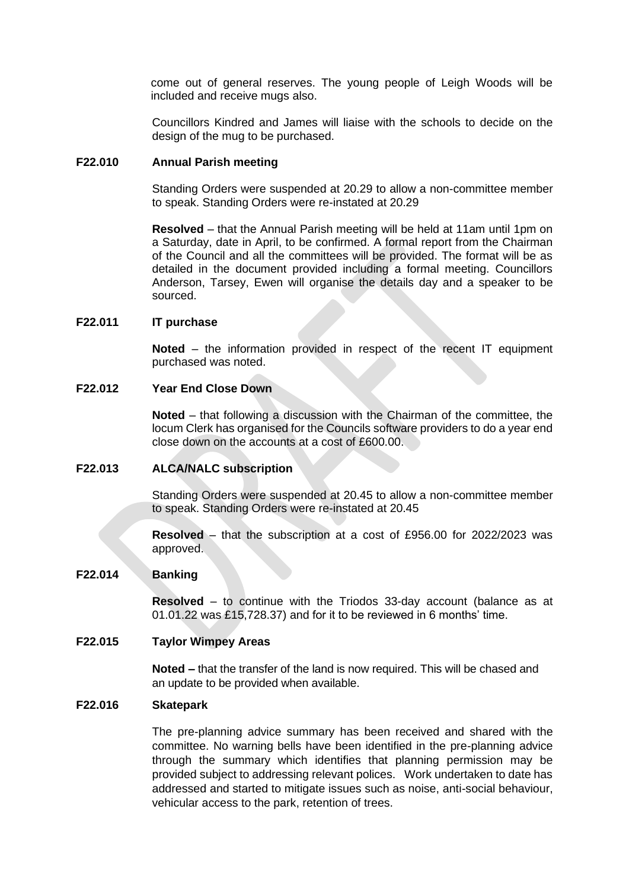come out of general reserves. The young people of Leigh Woods will be included and receive mugs also.

Councillors Kindred and James will liaise with the schools to decide on the design of the mug to be purchased.

#### **F22.010 Annual Parish meeting**

Standing Orders were suspended at 20.29 to allow a non-committee member to speak. Standing Orders were re-instated at 20.29

**Resolved** – that the Annual Parish meeting will be held at 11am until 1pm on a Saturday, date in April, to be confirmed. A formal report from the Chairman of the Council and all the committees will be provided. The format will be as detailed in the document provided including a formal meeting. Councillors Anderson, Tarsey, Ewen will organise the details day and a speaker to be sourced.

### **F22.011 IT purchase**

**Noted** – the information provided in respect of the recent IT equipment purchased was noted.

#### **F22.012 Year End Close Down**

**Noted** – that following a discussion with the Chairman of the committee, the locum Clerk has organised for the Councils software providers to do a year end close down on the accounts at a cost of £600.00.

#### **F22.013 ALCA/NALC subscription**

Standing Orders were suspended at 20.45 to allow a non-committee member to speak. Standing Orders were re-instated at 20.45

**Resolved** – that the subscription at a cost of £956.00 for 2022/2023 was approved.

### **F22.014 Banking**

**Resolved** – to continue with the Triodos 33-day account (balance as at 01.01.22 was £15,728.37) and for it to be reviewed in 6 months' time.

# **F22.015 Taylor Wimpey Areas**

**Noted –** that the transfer of the land is now required. This will be chased and an update to be provided when available.

#### **F22.016 Skatepark**

The pre-planning advice summary has been received and shared with the committee. No warning bells have been identified in the pre-planning advice through the summary which identifies that planning permission may be provided subject to addressing relevant polices. Work undertaken to date has addressed and started to mitigate issues such as noise, anti-social behaviour, vehicular access to the park, retention of trees.